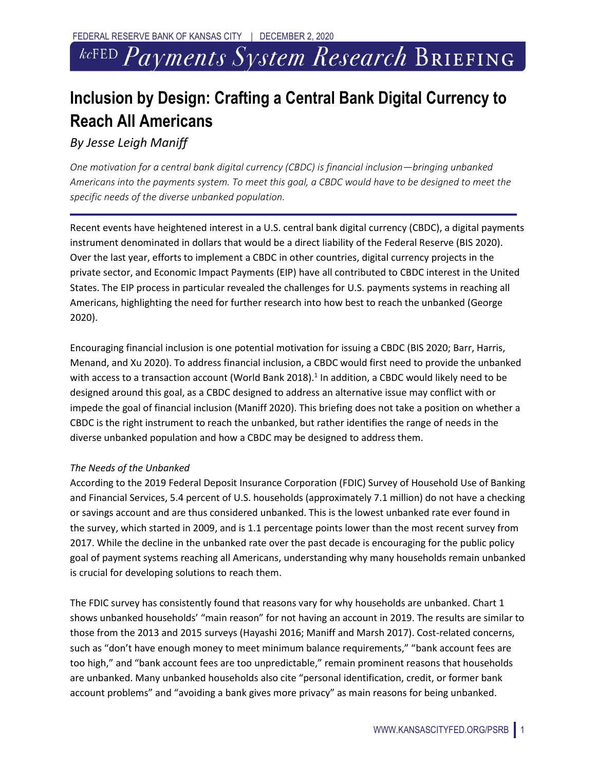# *kcFED Payments System Research* BRIEFING

# **Inclusion by Design: Crafting a Central Bank Digital Currency to Reach All Americans**

*By Jesse Leigh Maniff*

*One motivation for a central bank digital currency (CBDC) is financial inclusion—bringing unbanked Americans into the payments system. To meet this goal, a CBDC would have to be designed to meet the specific needs of the diverse unbanked population.* 

Recent events have heightened interest in a U.S. central bank digital currency (CBDC), a digital payments instrument denominated in dollars that would be a direct liability of the Federal Reserve (BIS 2020). Over the last year, efforts to implement a CBDC in other countries, digital currency projects in the private sector, and Economic Impact Payments (EIP) have all contributed to CBDC interest in the United States. The EIP process in particular revealed the challenges for U.S. payments systems in reaching all Americans, highlighting the need for further research into how best to reach the unbanked (George 2020).

Encouraging financial inclusion is one potential motivation for issuing a CBDC (BIS 2020; Barr, Harris, Menand, and Xu 2020). To address financial inclusion, a CBDC would first need to provide the unbanked with access to a transaction account (World Bank 2018).<sup>1</sup> In addition, a CBDC would likely need to be designed around this goal, as a CBDC designed to address an alternative issue may conflict with or impede the goal of financial inclusion (Maniff 2020). This briefing does not take a position on whether a CBDC is the right instrument to reach the unbanked, but rather identifies the range of needs in the diverse unbanked population and how a CBDC may be designed to address them.

### *The Needs of the Unbanked*

According to the 2019 Federal Deposit Insurance Corporation (FDIC) Survey of Household Use of Banking and Financial Services, 5.4 percent of U.S. households (approximately 7.1 million) do not have a checking or savings account and are thus considered unbanked. This is the lowest unbanked rate ever found in the survey, which started in 2009, and is 1.1 percentage points lower than the most recent survey from 2017. While the decline in the unbanked rate over the past decade is encouraging for the public policy goal of payment systems reaching all Americans, understanding why many households remain unbanked is crucial for developing solutions to reach them.

The FDIC survey has consistently found that reasons vary for why households are unbanked. Chart 1 shows unbanked households' "main reason" for not having an account in 2019. The results are similar to those from the 2013 and 2015 surveys (Hayashi 2016; Maniff and Marsh 2017). Cost-related concerns, such as "don't have enough money to meet minimum balance requirements," "bank account fees are too high," and "bank account fees are too unpredictable," remain prominent reasons that households are unbanked. Many unbanked households also cite "personal identification, credit, or former bank account problems" and "avoiding a bank gives more privacy" as main reasons for being unbanked.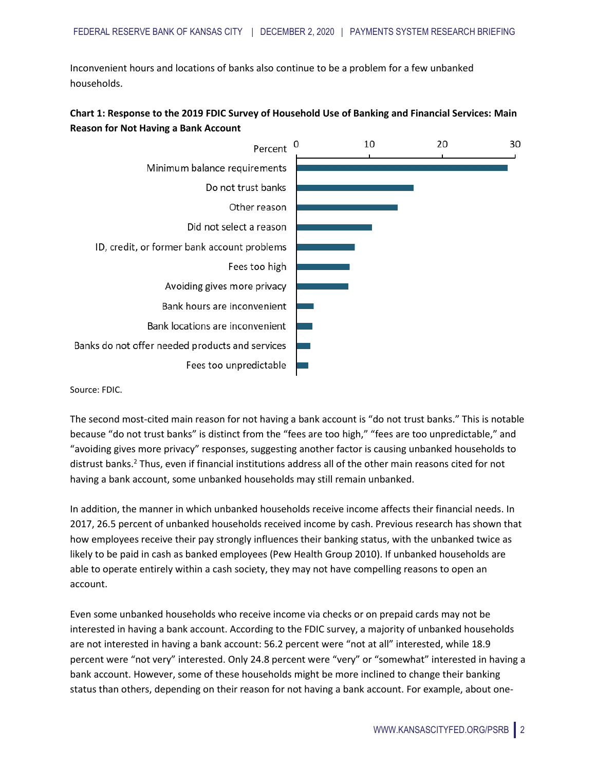Inconvenient hours and locations of banks also continue to be a problem for a few unbanked households.

## **Chart 1: Response to the 2019 FDIC Survey of Household Use of Banking and Financial Services: Main Reason for Not Having a Bank Account**



Source: FDIC.

The second most-cited main reason for not having a bank account is "do not trust banks." This is notable because "do not trust banks" is distinct from the "fees are too high," "fees are too unpredictable," and "avoiding gives more privacy" responses, suggesting another factor is causing unbanked households to distrust banks.<sup>2</sup> Thus, even if financial institutions address all of the other main reasons cited for not having a bank account, some unbanked households may still remain unbanked.

In addition, the manner in which unbanked households receive income affects their financial needs. In 2017, 26.5 percent of unbanked households received income by cash. Previous research has shown that how employees receive their pay strongly influences their banking status, with the unbanked twice as likely to be paid in cash as banked employees (Pew Health Group 2010). If unbanked households are able to operate entirely within a cash society, they may not have compelling reasons to open an account.

Even some unbanked households who receive income via checks or on prepaid cards may not be interested in having a bank account. According to the FDIC survey, a majority of unbanked households are not interested in having a bank account: 56.2 percent were "not at all" interested, while 18.9 percent were "not very" interested. Only 24.8 percent were "very" or "somewhat" interested in having a bank account. However, some of these households might be more inclined to change their banking status than others, depending on their reason for not having a bank account. For example, about one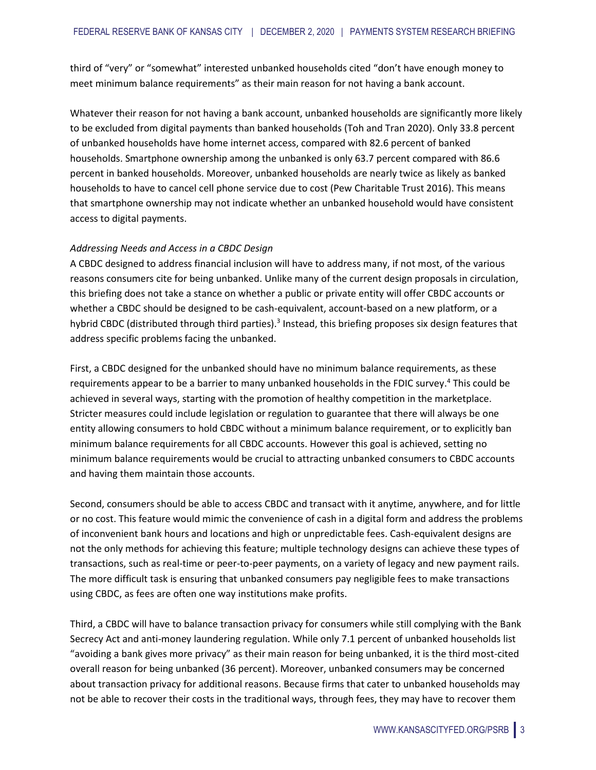third of "very" or "somewhat" interested unbanked households cited "don't have enough money to meet minimum balance requirements" as their main reason for not having a bank account.

Whatever their reason for not having a bank account, unbanked households are significantly more likely to be excluded from digital payments than banked households (Toh and Tran 2020). Only 33.8 percent of unbanked households have home internet access, compared with 82.6 percent of banked households. Smartphone ownership among the unbanked is only 63.7 percent compared with 86.6 percent in banked households. Moreover, unbanked households are nearly twice as likely as banked households to have to cancel cell phone service due to cost (Pew Charitable Trust 2016). This means that smartphone ownership may not indicate whether an unbanked household would have consistent access to digital payments.

#### *Addressing Needs and Access in a CBDC Design*

A CBDC designed to address financial inclusion will have to address many, if not most, of the various reasons consumers cite for being unbanked. Unlike many of the current design proposals in circulation, this briefing does not take a stance on whether a public or private entity will offer CBDC accounts or whether a CBDC should be designed to be cash-equivalent, account-based on a new platform, or a hybrid CBDC (distributed through third parties).<sup>3</sup> Instead, this briefing proposes six design features that address specific problems facing the unbanked.

First, a CBDC designed for the unbanked should have no minimum balance requirements, as these requirements appear to be a barrier to many unbanked households in the FDIC survey.<sup>4</sup> This could be achieved in several ways, starting with the promotion of healthy competition in the marketplace. Stricter measures could include legislation or regulation to guarantee that there will always be one entity allowing consumers to hold CBDC without a minimum balance requirement, or to explicitly ban minimum balance requirements for all CBDC accounts. However this goal is achieved, setting no minimum balance requirements would be crucial to attracting unbanked consumers to CBDC accounts and having them maintain those accounts.

Second, consumers should be able to access CBDC and transact with it anytime, anywhere, and for little or no cost. This feature would mimic the convenience of cash in a digital form and address the problems of inconvenient bank hours and locations and high or unpredictable fees. Cash-equivalent designs are not the only methods for achieving this feature; multiple technology designs can achieve these types of transactions, such as real-time or peer-to-peer payments, on a variety of legacy and new payment rails. The more difficult task is ensuring that unbanked consumers pay negligible fees to make transactions using CBDC, as fees are often one way institutions make profits.

Third, a CBDC will have to balance transaction privacy for consumers while still complying with the Bank Secrecy Act and anti-money laundering regulation. While only 7.1 percent of unbanked households list "avoiding a bank gives more privacy" as their main reason for being unbanked, it is the third most-cited overall reason for being unbanked (36 percent). Moreover, unbanked consumers may be concerned about transaction privacy for additional reasons. Because firms that cater to unbanked households may not be able to recover their costs in the traditional ways, through fees, they may have to recover them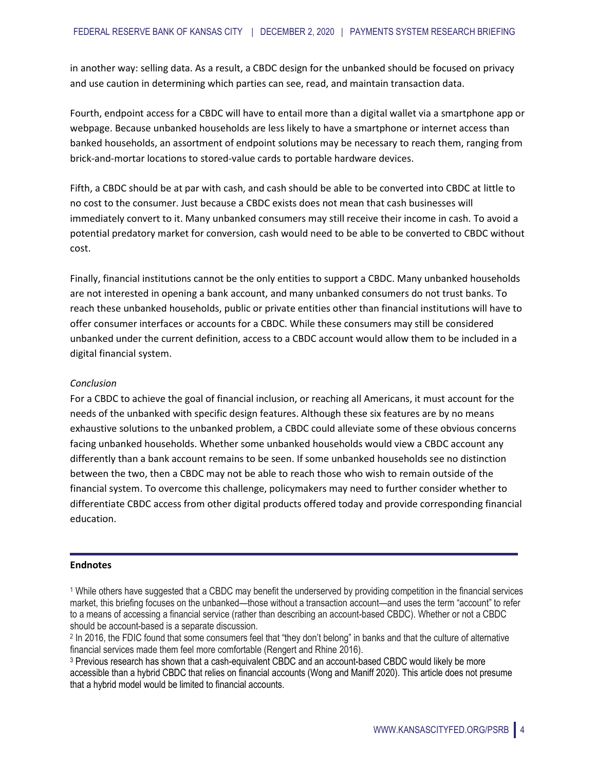in another way: selling data. As a result, a CBDC design for the unbanked should be focused on privacy and use caution in determining which parties can see, read, and maintain transaction data.

Fourth, endpoint access for a CBDC will have to entail more than a digital wallet via a smartphone app or webpage. Because unbanked households are less likely to have a smartphone or internet access than banked households, an assortment of endpoint solutions may be necessary to reach them, ranging from brick-and-mortar locations to stored-value cards to portable hardware devices.

Fifth, a CBDC should be at par with cash, and cash should be able to be converted into CBDC at little to no cost to the consumer. Just because a CBDC exists does not mean that cash businesses will immediately convert to it. Many unbanked consumers may still receive their income in cash. To avoid a potential predatory market for conversion, cash would need to be able to be converted to CBDC without cost.

Finally, financial institutions cannot be the only entities to support a CBDC. Many unbanked households are not interested in opening a bank account, and many unbanked consumers do not trust banks. To reach these unbanked households, public or private entities other than financial institutions will have to offer consumer interfaces or accounts for a CBDC. While these consumers may still be considered unbanked under the current definition, access to a CBDC account would allow them to be included in a digital financial system.

#### *Conclusion*

For a CBDC to achieve the goal of financial inclusion, or reaching all Americans, it must account for the needs of the unbanked with specific design features. Although these six features are by no means exhaustive solutions to the unbanked problem, a CBDC could alleviate some of these obvious concerns facing unbanked households. Whether some unbanked households would view a CBDC account any differently than a bank account remains to be seen. If some unbanked households see no distinction between the two, then a CBDC may not be able to reach those who wish to remain outside of the financial system. To overcome this challenge, policymakers may need to further consider whether to differentiate CBDC access from other digital products offered today and provide corresponding financial education.

#### **Endnotes**

<sup>3</sup> Previous research has shown that a cash-equivalent CBDC and an account-based CBDC would likely be more accessible than a hybrid CBDC that relies on financial accounts (Wong and Maniff 2020). This article does not presume that a hybrid model would be limited to financial accounts.

<sup>1</sup> While others have suggested that a CBDC may benefit the underserved by providing competition in the financial services market, this briefing focuses on the unbanked—those without a transaction account—and uses the term "account" to refer to a means of accessing a financial service (rather than describing an account-based CBDC). Whether or not a CBDC should be account-based is a separate discussion.

<sup>2</sup> In 2016, the FDIC found that some consumers feel that "they don't belong" in banks and that the culture of alternative financial services made them feel more comfortable (Rengert and Rhine 2016).